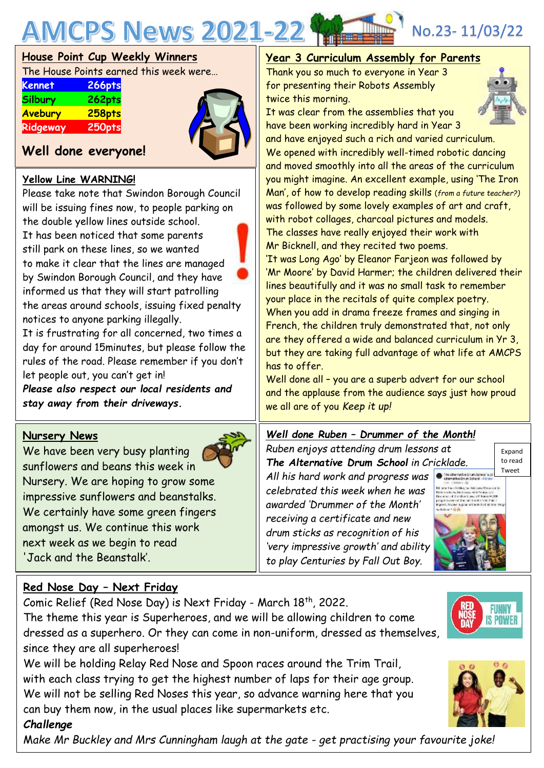

# **House Point Cup Weekly Winners**

The House Points earned this week were…

| <b>Kennet</b>  | 266pts |
|----------------|--------|
| <b>Silbury</b> | 262pts |
| Avebury        | 258pts |
| Ridgeway       | 250pts |



# **Well done everyone!**

### **Yellow Line WARNING!**

Please take note that Swindon Borough Council will be issuing fines now, to people parking on the double yellow lines outside school. It has been noticed that some parents still park on these lines, so we wanted to make it clear that the lines are managed by Swindon Borough Council, and they have informed us that they will start patrolling the areas around schools, issuing fixed penalty notices to anyone parking illegally.

It is frustrating for all concerned, two times a day for around 15minutes, but please follow the rules of the road. Please remember if you don't let people out, you can't get in!

*Please also respect our local residents and stay away from their driveways.*

### **Nursery News**

We have been very busy planting sunflowers and beans this week in Nursery. We are hoping to grow some impressive sunflowers and beanstalks. We certainly have some green fingers amongst us. We continue this work next week as we begin to read 'Jack and the Beanstalk'.



## **Year 3 Curriculum Assembly for Parents**

Thank you so much to everyone in Year 3 for presenting their Robots Assembly twice this morning.



It was clear from the assemblies that you have been working incredibly hard in Year 3

and have enjoyed such a rich and varied curriculum. We opened with incredibly well-timed robotic dancing and moved smoothly into all the areas of the curriculum you might imagine. An excellent example, using 'The Iron Man', of how to develop reading skills (*from a future teacher?)* was followed by some lovely examples of art and craft, with robot collages, charcoal pictures and models. The classes have really enjoyed their work with Mr Bicknell, and they recited two poems.

'It was Long Ago' by Eleanor Farjeon was followed by 'Mr Moore' by David Harmer; the children delivered their lines beautifully and it was no small task to remember your place in the recitals of quite complex poetry. When you add in drama freeze frames and singing in French, the children truly demonstrated that, not only are they offered a wide and balanced curriculum in Yr 3, but they are taking full advantage of what life at AMCPS has to offer.

Well done all - you are a superb advert for our school and the applause from the audience says just how proud we all are of you *Keep it up!*

#### *Well done Ruben – Drummer of the Month!*

*Ruben enjoys attending drum lessons at The Alternative Drum School in Cricklade. All his hard work and progress was celebrated this week when he was awarded 'Drummer of the Month' receiving a certificate and new drum sticks as recognition of his 'very impressive growth' and ability to play Centuries by Fall Out Boy.*



Expand to read

### **Red Nose Day – Next Friday**

Comic Relief (Red Nose Day) is Next Friday - March 18<sup>th</sup>, 2022. The theme this year is Superheroes, and we will be allowing children to come dressed as a superhero. Or they can come in non-uniform, dressed as themselves, since they are all superheroes!

We will be holding Relay Red Nose and Spoon races around the Trim Trail, with each class trying to get the highest number of laps for their age group. We will not be selling Red Noses this year, so advance warning here that you can buy them now, in the usual places like supermarkets etc.

#### *Challenge*

M*ake Mr Buckley and Mrs Cunningham laugh at the gate - get practising your favourite joke!*